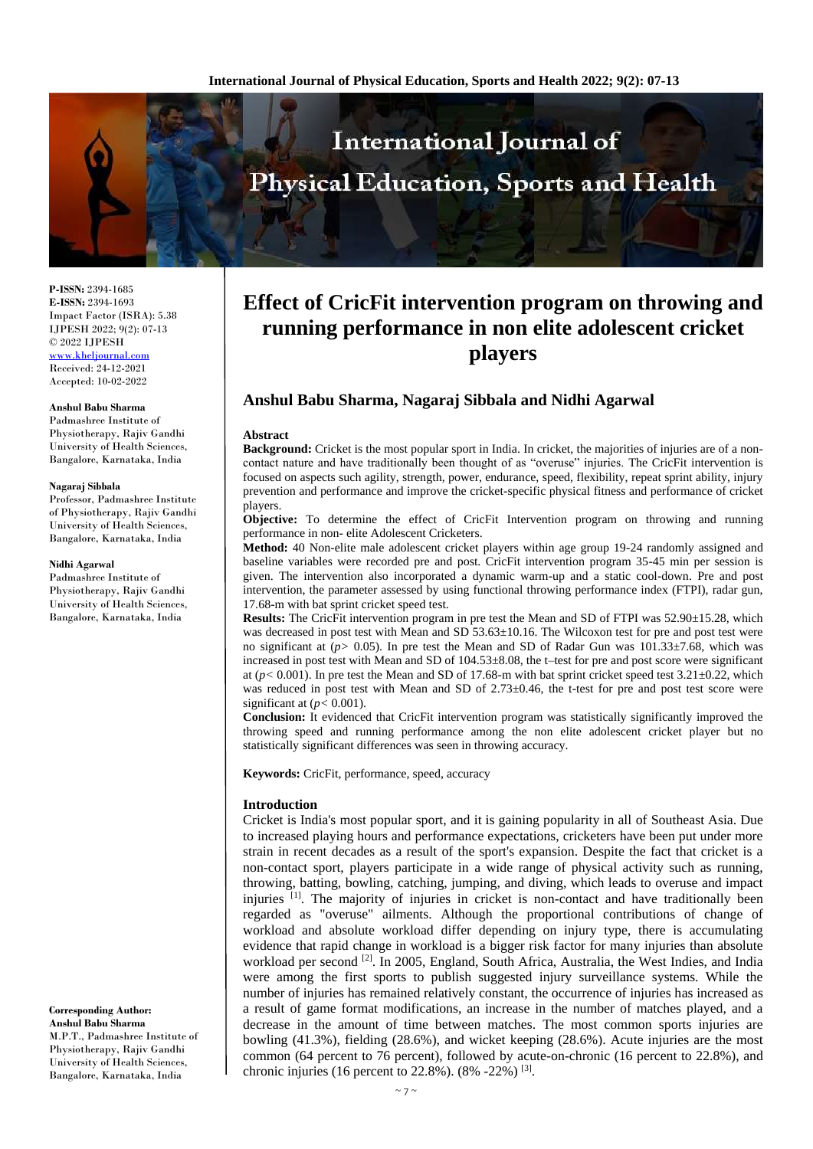

**P-ISSN:** 2394-1685 **E-ISSN:** 2394-1693 Impact Factor (ISRA): 5.38 IJPESH 2022; 9(2): 07-13 © 2022 IJPESH [www.kheljournal.com](http://www.kheljournal.com/)

Received: 24-12-2021 Accepted: 10-02-2022

#### **Anshul Babu Sharma**

Padmashree Institute of Physiotherapy, Rajiv Gandhi University of Health Sciences, Bangalore, Karnataka, India

#### **Nagaraj Sibbala**

Professor, Padmashree Institute of Physiotherapy, Rajiv Gandhi University of Health Sciences, Bangalore, Karnataka, India

#### **Nidhi Agarwal**

Padmashree Institute of Physiotherapy, Rajiv Gandhi University of Health Sciences, Bangalore, Karnataka, India

**Corresponding Author: Anshul Babu Sharma** M.P.T., Padmashree Institute of Physiotherapy, Rajiv Gandhi University of Health Sciences, Bangalore, Karnataka, India

# **Effect of CricFit intervention program on throwing and running performance in non elite adolescent cricket players**

# **Anshul Babu Sharma, Nagaraj Sibbala and Nidhi Agarwal**

#### **Abstract**

**Background:** Cricket is the most popular sport in India. In cricket, the majorities of injuries are of a noncontact nature and have traditionally been thought of as "overuse" injuries. The CricFit intervention is focused on aspects such agility, strength, power, endurance, speed, flexibility, repeat sprint ability, injury prevention and performance and improve the cricket-specific physical fitness and performance of cricket players.

**Objective:** To determine the effect of CricFit Intervention program on throwing and running performance in non- elite Adolescent Cricketers.

**Method:** 40 Non-elite male adolescent cricket players within age group 19-24 randomly assigned and baseline variables were recorded pre and post. CricFit intervention program 35-45 min per session is given. The intervention also incorporated a dynamic warm-up and a static cool-down. Pre and post intervention, the parameter assessed by using functional throwing performance index (FTPI), radar gun, 17.68-m with bat sprint cricket speed test.

**Results:** The CricFit intervention program in pre test the Mean and SD of FTPI was 52.90±15.28, which was decreased in post test with Mean and SD 53.63±10.16. The Wilcoxon test for pre and post test were no significant at (*p>* 0.05). In pre test the Mean and SD of Radar Gun was 101.33±7.68, which was increased in post test with Mean and SD of 104.53±8.08, the t–test for pre and post score were significant at ( $p$ < 0.001). In pre test the Mean and SD of 17.68-m with bat sprint cricket speed test  $3.21 \pm 0.22$ , which was reduced in post test with Mean and SD of 2.73 $\pm$ 0.46, the t-test for pre and post test score were significant at  $(p < 0.001)$ .

**Conclusion:** It evidenced that CricFit intervention program was statistically significantly improved the throwing speed and running performance among the non elite adolescent cricket player but no statistically significant differences was seen in throwing accuracy.

**Keywords:** CricFit, performance, speed, accuracy

#### **Introduction**

Cricket is India's most popular sport, and it is gaining popularity in all of Southeast Asia. Due to increased playing hours and performance expectations, cricketers have been put under more strain in recent decades as a result of the sport's expansion. Despite the fact that cricket is a non-contact sport, players participate in a wide range of physical activity such as running, throwing, batting, bowling, catching, jumping, and diving, which leads to overuse and impact injuries <sup>[1]</sup>. The majority of injuries in cricket is non-contact and have traditionally been regarded as "overuse" ailments. Although the proportional contributions of change of workload and absolute workload differ depending on injury type, there is accumulating evidence that rapid change in workload is a bigger risk factor for many injuries than absolute workload per second <sup>[2]</sup>. In 2005, England, South Africa, Australia, the West Indies, and India were among the first sports to publish suggested injury surveillance systems. While the number of injuries has remained relatively constant, the occurrence of injuries has increased as a result of game format modifications, an increase in the number of matches played, and a decrease in the amount of time between matches. The most common sports injuries are bowling (41.3%), fielding (28.6%), and wicket keeping (28.6%). Acute injuries are the most common (64 percent to 76 percent), followed by acute-on-chronic (16 percent to 22.8%), and chronic injuries (16 percent to 22.8%). (8% -22%) [3].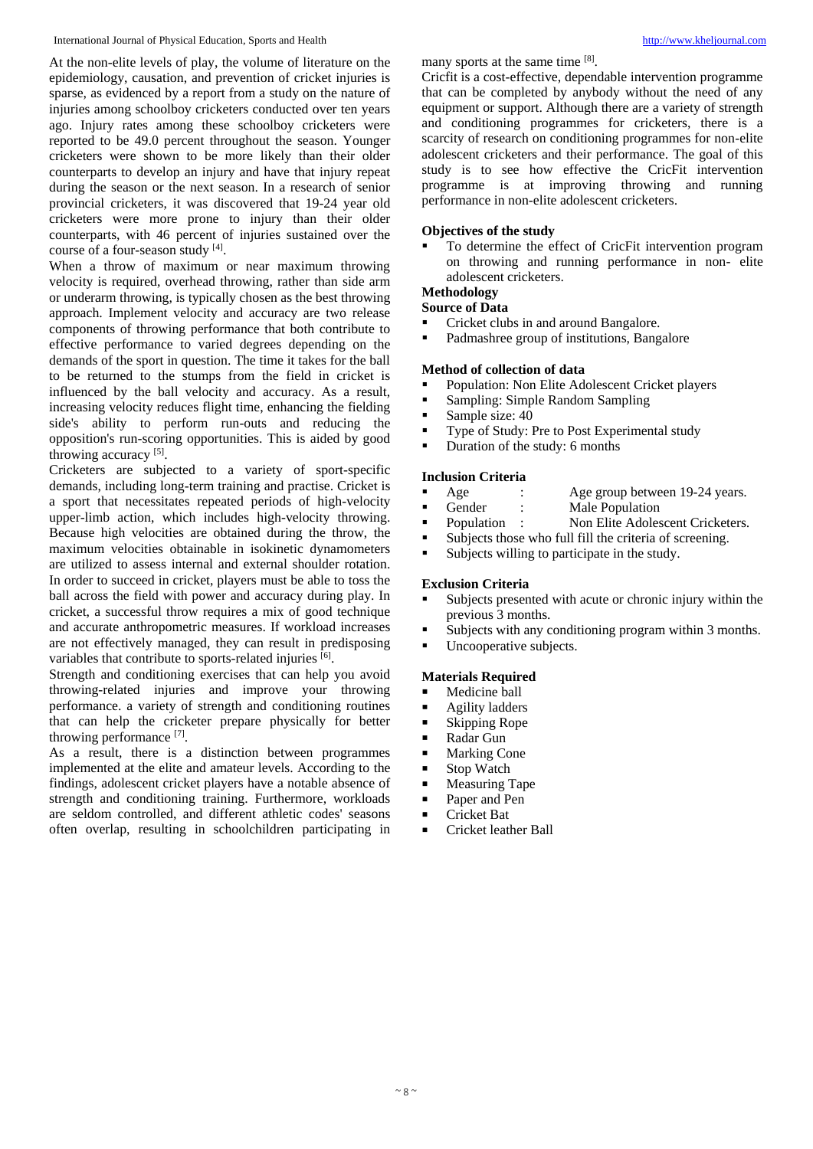At the non-elite levels of play, the volume of literature on the epidemiology, causation, and prevention of cricket injuries is sparse, as evidenced by a report from a study on the nature of injuries among schoolboy cricketers conducted over ten years ago. Injury rates among these schoolboy cricketers were reported to be 49.0 percent throughout the season. Younger cricketers were shown to be more likely than their older counterparts to develop an injury and have that injury repeat during the season or the next season. In a research of senior provincial cricketers, it was discovered that 19-24 year old cricketers were more prone to injury than their older counterparts, with 46 percent of injuries sustained over the course of a four-season study [4].

When a throw of maximum or near maximum throwing velocity is required, overhead throwing, rather than side arm or underarm throwing, is typically chosen as the best throwing approach. Implement velocity and accuracy are two release components of throwing performance that both contribute to effective performance to varied degrees depending on the demands of the sport in question. The time it takes for the ball to be returned to the stumps from the field in cricket is influenced by the ball velocity and accuracy. As a result, increasing velocity reduces flight time, enhancing the fielding side's ability to perform run-outs and reducing the opposition's run-scoring opportunities. This is aided by good throwing accuracy<sup>[5]</sup>.

Cricketers are subjected to a variety of sport-specific demands, including long-term training and practise. Cricket is a sport that necessitates repeated periods of high-velocity upper-limb action, which includes high-velocity throwing. Because high velocities are obtained during the throw, the maximum velocities obtainable in isokinetic dynamometers are utilized to assess internal and external shoulder rotation. In order to succeed in cricket, players must be able to toss the ball across the field with power and accuracy during play. In cricket, a successful throw requires a mix of good technique and accurate anthropometric measures. If workload increases are not effectively managed, they can result in predisposing variables that contribute to sports-related injuries [6].

Strength and conditioning exercises that can help you avoid throwing-related injuries and improve your throwing performance. a variety of strength and conditioning routines that can help the cricketer prepare physically for better throwing performance [7].

As a result, there is a distinction between programmes implemented at the elite and amateur levels. According to the findings, adolescent cricket players have a notable absence of strength and conditioning training. Furthermore, workloads are seldom controlled, and different athletic codes' seasons often overlap, resulting in schoolchildren participating in many sports at the same time [8].

Cricfit is a cost-effective, dependable intervention programme that can be completed by anybody without the need of any equipment or support. Although there are a variety of strength and conditioning programmes for cricketers, there is a scarcity of research on conditioning programmes for non-elite adolescent cricketers and their performance. The goal of this study is to see how effective the CricFit intervention programme is at improving throwing and running performance in non-elite adolescent cricketers.

## **Objectives of the study**

 To determine the effect of CricFit intervention program on throwing and running performance in non- elite adolescent cricketers.

# **Methodology**

# **Source of Data**

- Cricket clubs in and around Bangalore.
- Padmashree group of institutions, Bangalore

# **Method of collection of data**

- Population: Non Elite Adolescent Cricket players
- Sampling: Simple Random Sampling<br>Sample size:  $40$
- Sample size:  $40$ <br>Type of Study: I
- Type of Study: Pre to Post Experimental study
- Duration of the study: 6 months

#### **Inclusion Criteria**

- Age : Age group between 19-24 years.<br>
Gender : Male Population
- Male Population
- Population : Non Elite Adolescent Cricketers.
- Subjects those who full fill the criteria of screening.
- Subjects willing to participate in the study.

#### **Exclusion Criteria**

- Subjects presented with acute or chronic injury within the previous 3 months.
- Subjects with any conditioning program within 3 months.
- **Uncooperative subjects.**

# **Materials Required**

- Medicine ball
- Agility ladders
- $\blacksquare$  Skipping Rope
- Radar Gun
- Marking Cone<br>■ Ston Watch
- Stop Watch<br>■ Measuring T
- Measuring Tape<br>Paper and Pen
- Paper and Pen
- Cricket Bat
- Cricket leather Ball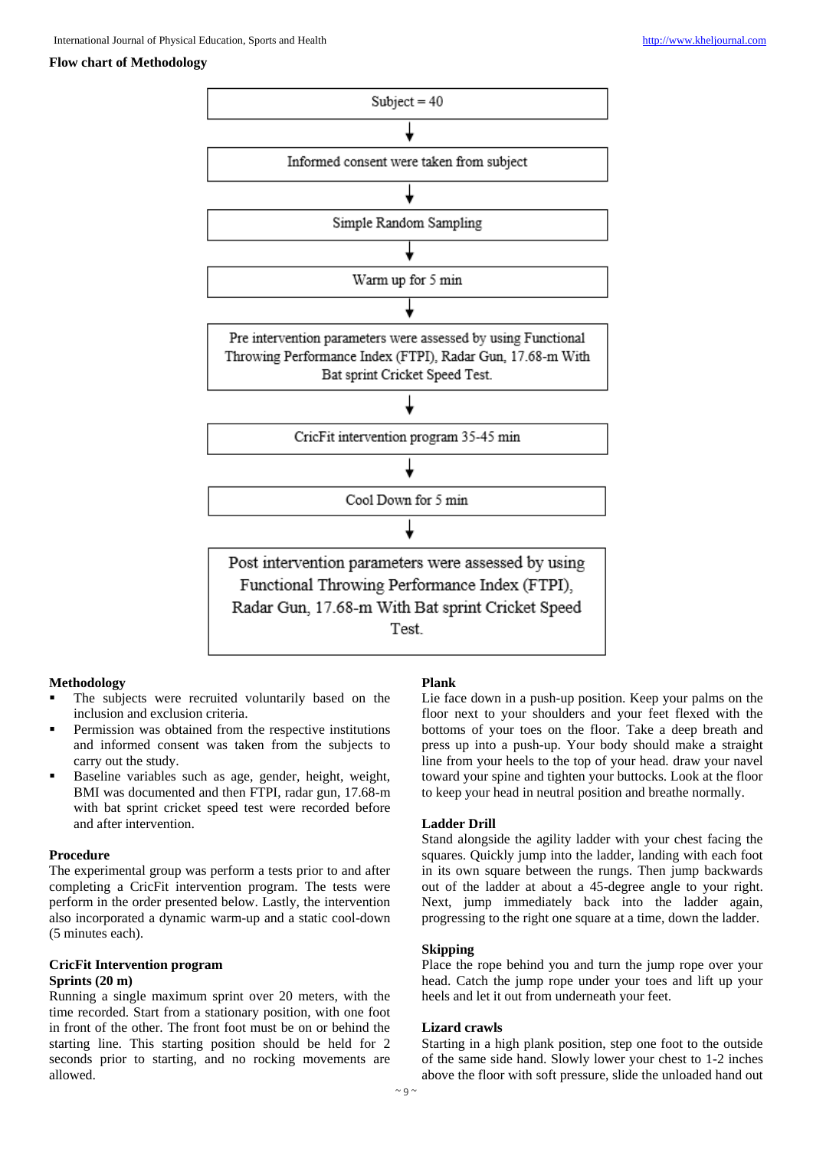#### **Flow chart of Methodology**



#### **Methodology**

- The subjects were recruited voluntarily based on the inclusion and exclusion criteria.
- Permission was obtained from the respective institutions and informed consent was taken from the subjects to carry out the study.
- Baseline variables such as age, gender, height, weight, BMI was documented and then FTPI, radar gun, 17.68-m with bat sprint cricket speed test were recorded before and after intervention.

#### **Procedure**

The experimental group was perform a tests prior to and after completing a CricFit intervention program. The tests were perform in the order presented below. Lastly, the intervention also incorporated a dynamic warm-up and a static cool-down (5 minutes each).

# **CricFit Intervention program**

#### **Sprints (20 m)**

Running a single maximum sprint over 20 meters, with the time recorded. Start from a stationary position, with one foot in front of the other. The front foot must be on or behind the starting line. This starting position should be held for 2 seconds prior to starting, and no rocking movements are allowed.

#### **Plank**

Lie face down in a push-up position. Keep your palms on the floor next to your shoulders and your feet flexed with the bottoms of your toes on the floor. Take a deep breath and press up into a push-up. Your body should make a straight line from your heels to the top of your head. draw your navel toward your spine and tighten your buttocks. Look at the floor to keep your head in neutral position and breathe normally.

#### **Ladder Drill**

Stand alongside the agility ladder with your chest facing the squares. Quickly jump into the ladder, landing with each foot in its own square between the rungs. Then jump backwards out of the ladder at about a 45-degree angle to your right. Next, jump immediately back into the ladder again, progressing to the right one square at a time, down the ladder.

#### **Skipping**

Place the rope behind you and turn the jump rope over your head. Catch the jump rope under your toes and lift up your heels and let it out from underneath your feet.

#### **Lizard crawls**

Starting in a high plank position, step one foot to the outside of the same side hand. Slowly lower your chest to 1-2 inches above the floor with soft pressure, slide the unloaded hand out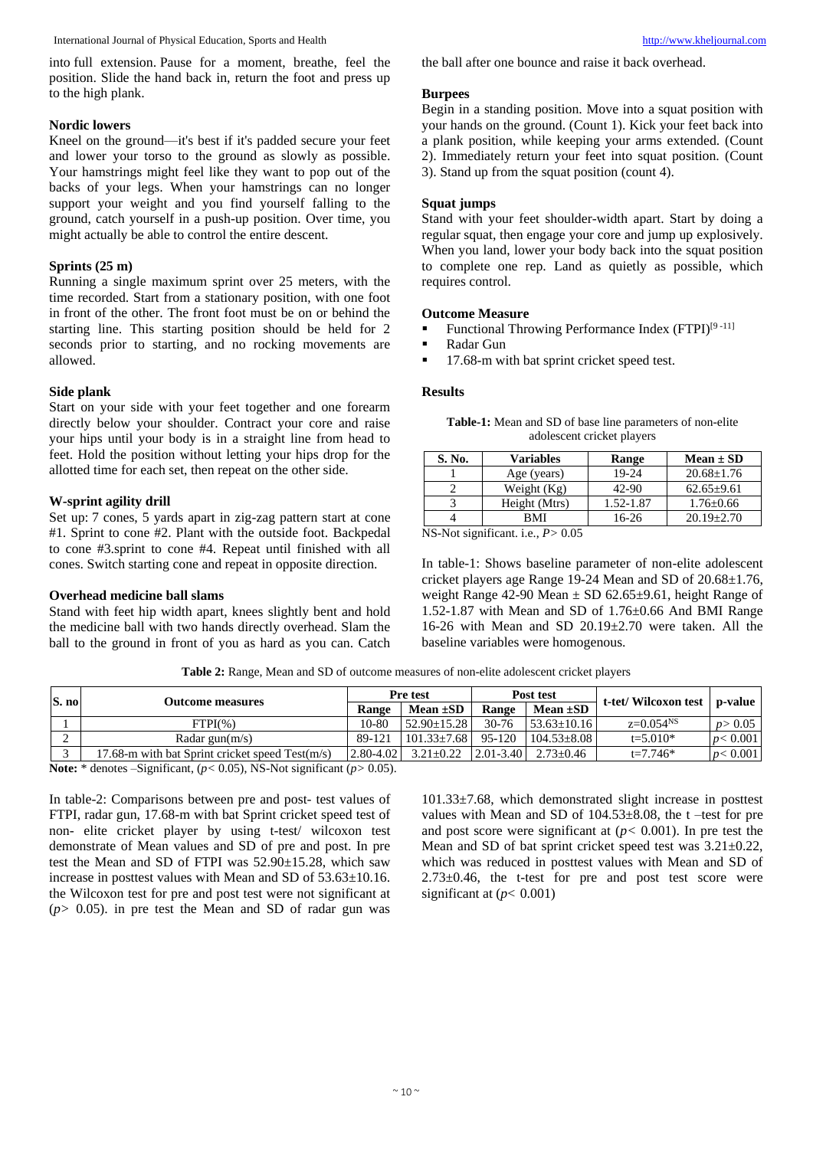into full extension. Pause for a moment, breathe, feel the position. Slide the hand back in, return the foot and press up to the high plank.

#### **Nordic lowers**

Kneel on the ground—it's best if it's padded secure your feet and lower your torso to the ground as slowly as possible. Your hamstrings might feel like they want to pop out of the backs of your legs. When your hamstrings can no longer support your weight and you find yourself falling to the ground, catch yourself in a push-up position. Over time, you might actually be able to control the entire descent.

#### **Sprints (25 m)**

Running a single maximum sprint over 25 meters, with the time recorded. Start from a stationary position, with one foot in front of the other. The front foot must be on or behind the starting line. This starting position should be held for 2 seconds prior to starting, and no rocking movements are allowed.

#### **Side plank**

Start on your side with your feet together and one forearm directly below your shoulder. Contract your core and raise your hips until your body is in a straight line from head to feet. Hold the position without letting your hips drop for the allotted time for each set, then repeat on the other side.

### **W-sprint agility drill**

Set up: 7 cones, 5 yards apart in zig-zag pattern start at cone #1. Sprint to cone #2. Plant with the outside foot. Backpedal to cone #3.sprint to cone #4. Repeat until finished with all cones. Switch starting cone and repeat in opposite direction.

#### **Overhead medicine ball slams**

Stand with feet hip width apart, knees slightly bent and hold the medicine ball with two hands directly overhead. Slam the ball to the ground in front of you as hard as you can. Catch

the ball after one bounce and raise it back overhead.

## **Burpees**

Begin in a standing position. Move into a squat position with your hands on the ground. (Count 1). Kick your feet back into a plank position, while keeping your arms extended. (Count 2). Immediately return your feet into squat position. (Count 3). Stand up from the squat position (count 4).

# **Squat jumps**

Stand with your feet shoulder-width apart. Start by doing a regular squat, then engage your core and jump up explosively. When you land, lower your body back into the squat position to complete one rep. Land as quietly as possible, which requires control.

#### **Outcome Measure**

- Functional Throwing Performance Index (FTPI)<sup>[9-11]</sup>
- Radar Gun
- 17.68-m with bat sprint cricket speed test.

#### **Results**

|                            | <b>Table-1:</b> Mean and SD of base line parameters of non-elite |  |
|----------------------------|------------------------------------------------------------------|--|
| adolescent cricket players |                                                                  |  |

| S. No.                                                          | Variables     | <b>Range</b> | $Mean \pm SD$    |  |  |  |
|-----------------------------------------------------------------|---------------|--------------|------------------|--|--|--|
|                                                                 | Age (years)   | 19-24        | $20.68 \pm 1.76$ |  |  |  |
|                                                                 | Weight $(Kg)$ | $42-90$      | $62.65 \pm 9.61$ |  |  |  |
|                                                                 | Height (Mtrs) | 1.52-1.87    | $1.76 + 0.66$    |  |  |  |
|                                                                 | BMI           | $16-26$      | $20.19 + 2.70$   |  |  |  |
| $\overline{AC}$ Mot classificant is $D \setminus \overline{OC}$ |               |              |                  |  |  |  |

NS-Not significant. i.e., *P>* 0.05

In table-1: Shows baseline parameter of non-elite adolescent cricket players age Range 19-24 Mean and SD of 20.68±1.76, weight Range 42-90 Mean  $\pm$  SD 62.65 $\pm$ 9.61, height Range of 1.52-1.87 with Mean and SD of 1.76±0.66 And BMI Range 16-26 with Mean and SD 20.19±2.70 were taken. All the baseline variables were homogenous.

**Table 2:** Range, Mean and SD of outcome measures of non-elite adolescent cricket players

| S. no                                                                                                                                    |                                                   | <b>Pre test</b> |                                | Post test     |                 | t-tet/Wilcoxon test p-value |           |  |  |
|------------------------------------------------------------------------------------------------------------------------------------------|---------------------------------------------------|-----------------|--------------------------------|---------------|-----------------|-----------------------------|-----------|--|--|
|                                                                                                                                          | <b>Outcome measures</b>                           | <b>Range</b>    | Mean $\pm SD$                  | Range         | Mean $\pm SD$   |                             |           |  |  |
|                                                                                                                                          | $FTPI(\% )$                                       |                 | $52.90 \pm 15.28$              | $30 - 76$     | $53.63+10.16$   | $z=0.054^{NS}$              | p > 0.05  |  |  |
|                                                                                                                                          | Radar gun $(m/s)$                                 |                 | $101.33 + 7.68$                | 95-120        | $104.53 + 8.08$ | $t = 5.010*$                | p < 0.001 |  |  |
|                                                                                                                                          | 17.68-m with bat Sprint cricket speed $Test(m/s)$ |                 | $2.80 - 4.02$<br>$3.21 + 0.22$ | $2.01 - 3.40$ | $2.73+0.46$     | $t = 7.746*$                | p < 0.001 |  |  |
| Notes $\frac{k}{2}$ denotes $\frac{C_{\text{c}}}{k}$ and $\frac{C_{\text{c}}}{k}$ (n $\geq 0.05$ ). NR, Not equivalent (n $\leq 0.05$ ). |                                                   |                 |                                |               |                 |                             |           |  |  |

**Note:** \* denotes –Significant, (*p<* 0.05), NS-Not significant (*p>* 0.05).

In table-2: Comparisons between pre and post- test values of FTPI, radar gun, 17.68-m with bat Sprint cricket speed test of non- elite cricket player by using t-test/ wilcoxon test demonstrate of Mean values and SD of pre and post. In pre test the Mean and SD of FTPI was 52.90±15.28, which saw increase in posttest values with Mean and SD of 53.63±10.16. the Wilcoxon test for pre and post test were not significant at (*p>* 0.05). in pre test the Mean and SD of radar gun was

101.33±7.68, which demonstrated slight increase in posttest values with Mean and SD of 104.53±8.08, the t –test for pre and post score were significant at  $(p < 0.001)$ . In pre test the Mean and SD of bat sprint cricket speed test was 3.21±0.22, which was reduced in posttest values with Mean and SD of  $2.73\pm0.46$ , the t-test for pre and post test score were significant at  $(p< 0.001)$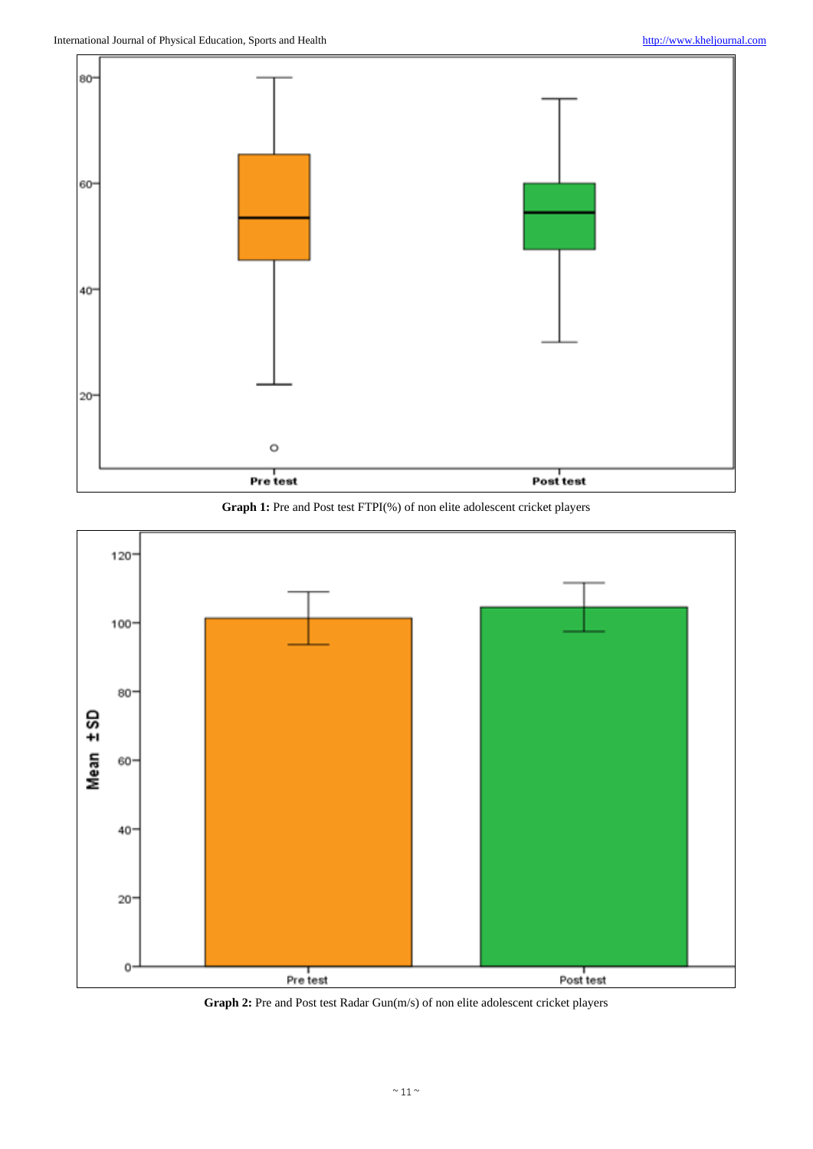





**Graph 2:** Pre and Post test Radar Gun(m/s) of non elite adolescent cricket players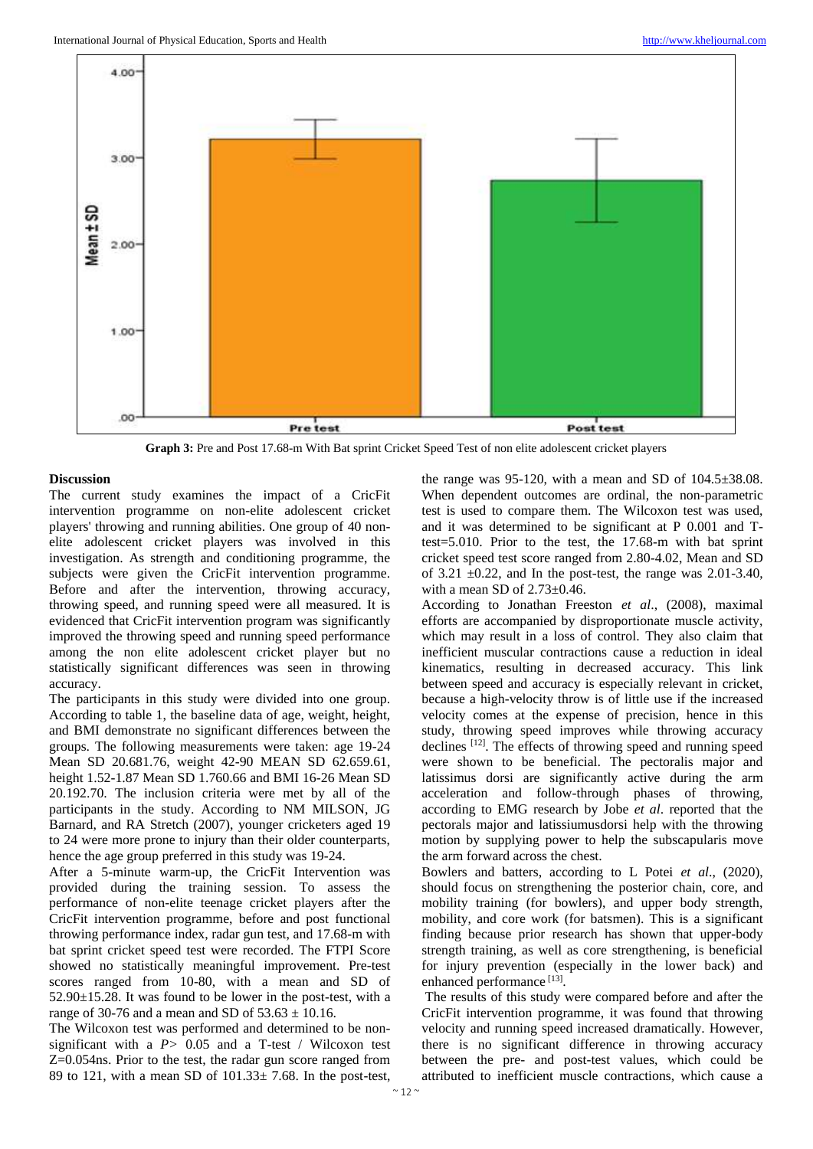

**Graph 3:** Pre and Post 17.68-m With Bat sprint Cricket Speed Test of non elite adolescent cricket players

### **Discussion**

The current study examines the impact of a CricFit intervention programme on non-elite adolescent cricket players' throwing and running abilities. One group of 40 nonelite adolescent cricket players was involved in this investigation. As strength and conditioning programme, the subjects were given the CricFit intervention programme. Before and after the intervention, throwing accuracy, throwing speed, and running speed were all measured. It is evidenced that CricFit intervention program was significantly improved the throwing speed and running speed performance among the non elite adolescent cricket player but no statistically significant differences was seen in throwing accuracy.

The participants in this study were divided into one group. According to table 1, the baseline data of age, weight, height, and BMI demonstrate no significant differences between the groups. The following measurements were taken: age 19-24 Mean SD 20.681.76, weight 42-90 MEAN SD 62.659.61, height 1.52-1.87 Mean SD 1.760.66 and BMI 16-26 Mean SD 20.192.70. The inclusion criteria were met by all of the participants in the study. According to NM MILSON, JG Barnard, and RA Stretch (2007), younger cricketers aged 19 to 24 were more prone to injury than their older counterparts, hence the age group preferred in this study was 19-24.

After a 5-minute warm-up, the CricFit Intervention was provided during the training session. To assess the performance of non-elite teenage cricket players after the CricFit intervention programme, before and post functional throwing performance index, radar gun test, and 17.68-m with bat sprint cricket speed test were recorded. The FTPI Score showed no statistically meaningful improvement. Pre-test scores ranged from 10-80, with a mean and SD of 52.90±15.28. It was found to be lower in the post-test, with a range of 30-76 and a mean and SD of  $53.63 \pm 10.16$ .

The Wilcoxon test was performed and determined to be nonsignificant with a *P>* 0.05 and a T-test / Wilcoxon test Z=0.054ns. Prior to the test, the radar gun score ranged from 89 to 121, with a mean SD of 101.33± 7.68. In the post-test,

the range was  $95-120$ , with a mean and SD of  $104.5\pm38.08$ . When dependent outcomes are ordinal, the non-parametric test is used to compare them. The Wilcoxon test was used, and it was determined to be significant at P 0.001 and Ttest=5.010. Prior to the test, the 17.68-m with bat sprint cricket speed test score ranged from 2.80-4.02, Mean and SD of 3.21  $\pm$ 0.22, and In the post-test, the range was 2.01-3.40, with a mean SD of 2.73±0.46.

According to Jonathan Freeston *et al*., (2008), maximal efforts are accompanied by disproportionate muscle activity, which may result in a loss of control. They also claim that inefficient muscular contractions cause a reduction in ideal kinematics, resulting in decreased accuracy. This link between speed and accuracy is especially relevant in cricket, because a high-velocity throw is of little use if the increased velocity comes at the expense of precision, hence in this study, throwing speed improves while throwing accuracy declines [12]. The effects of throwing speed and running speed were shown to be beneficial. The pectoralis major and latissimus dorsi are significantly active during the arm acceleration and follow-through phases of throwing, according to EMG research by Jobe *et al*. reported that the pectorals major and latissiumusdorsi help with the throwing motion by supplying power to help the subscapularis move the arm forward across the chest.

Bowlers and batters, according to L Potei *et al*., (2020), should focus on strengthening the posterior chain, core, and mobility training (for bowlers), and upper body strength, mobility, and core work (for batsmen). This is a significant finding because prior research has shown that upper-body strength training, as well as core strengthening, is beneficial for injury prevention (especially in the lower back) and enhanced performance<sup>[13]</sup>.

The results of this study were compared before and after the CricFit intervention programme, it was found that throwing velocity and running speed increased dramatically. However, there is no significant difference in throwing accuracy between the pre- and post-test values, which could be attributed to inefficient muscle contractions, which cause a